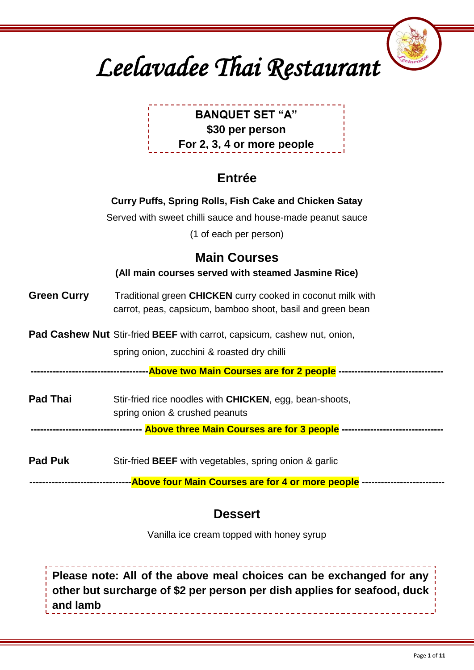

| <b>BANQUET SET "A"</b>     |
|----------------------------|
| \$30 per person            |
| For 2, 3, 4 or more people |

### **Entrée**

|                    | Curry Puffs, Spring Rolls, Fish Cake and Chicken Satay<br>Served with sweet chilli sauce and house-made peanut sauce<br>(1 of each per person) |
|--------------------|------------------------------------------------------------------------------------------------------------------------------------------------|
|                    | <b>Main Courses</b><br>(All main courses served with steamed Jasmine Rice)                                                                     |
| <b>Green Curry</b> | Traditional green CHICKEN curry cooked in coconut milk with<br>carrot, peas, capsicum, bamboo shoot, basil and green bean                      |
|                    | Pad Cashew Nut Stir-fried BEEF with carrot, capsicum, cashew nut, onion,<br>spring onion, zucchini & roasted dry chilli                        |
| <b>Pad Thai</b>    | Stir-fried rice noodles with <b>CHICKEN</b> , egg, bean-shoots,<br>spring onion & crushed peanuts                                              |
|                    | ---------------------------------- Above three Main Courses are for 3 people -------------------------------                                   |
| <b>Pad Puk</b>     | Stir-fried BEEF with vegetables, spring onion & garlic                                                                                         |
|                    | --------------------------------Above four Main Courses are for 4 or more people -------------------------                                     |

### **Dessert**

Vanilla ice cream topped with honey syrup

**Please note: All of the above meal choices can be exchanged for any other but surcharge of \$2 per person per dish applies for seafood, duck and lamb**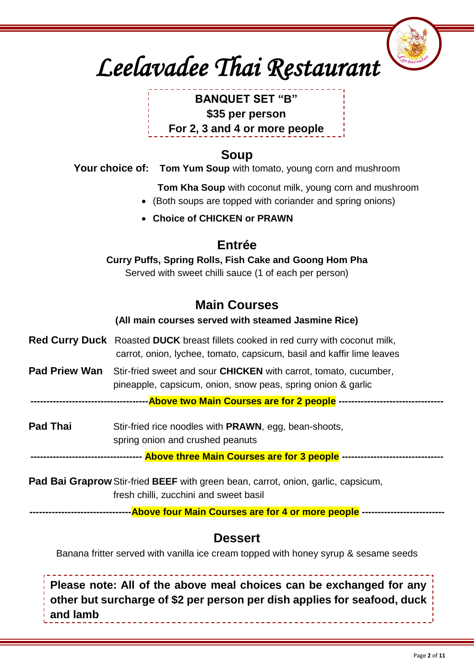# *Leelavadee Thai Restaurant*

### **BANQUET SET "B" \$35 per person For 2, 3 and 4 or more people**

### **Soup**

**Your choice of: Tom Yum Soup** with tomato, young corn and mushroom

**Tom Kha Soup** with coconut milk, young corn and mushroom

- (Both soups are topped with coriander and spring onions)
- **Choice of CHICKEN or PRAWN**

### **Entrée**

**Curry Puffs, Spring Rolls, Fish Cake and Goong Hom Pha**

Served with sweet chilli sauce (1 of each per person)

### **Main Courses**

#### **(All main courses served with steamed Jasmine Rice)**

- **Red Curry Duck** Roasted **DUCK** breast fillets cooked in red curry with coconut milk, carrot, onion, lychee, tomato, capsicum, basil and kaffir lime leaves
- **Pad Priew Wan** Stir-fried sweet and sour **CHICKEN** with carrot, tomato, cucumber, pineapple, capsicum, onion, snow peas, spring onion & garlic

**-------------------------------------Above two Main Courses are for 2 people ---------------------------------**

**Pad Thai** Stir-fried rice noodles with **PRAWN**, egg, bean-shoots, spring onion and crushed peanuts

**----------------------------------- Above three Main Courses are for 3 people --------------------------------**

**Pad Bai Graprow**Stir-fried **BEEF** with green bean, carrot, onion, garlic, capsicum, fresh chilli, zucchini and sweet basil

**--------------------------------Above four Main Courses are for 4 or more people --------------------------**

### **Dessert**

Banana fritter served with vanilla ice cream topped with honey syrup & sesame seeds

**Please note: All of the above meal choices can be exchanged for any other but surcharge of \$2 per person per dish applies for seafood, duck and lamb**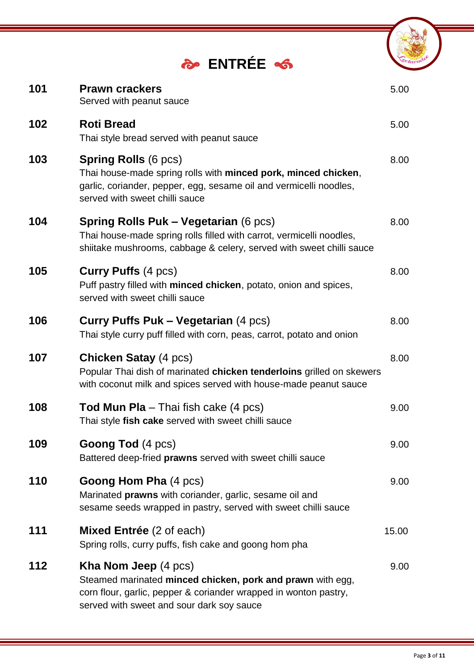|     | <b>PO ENTRÉE</b>                                                                                                                                                                                           |       |
|-----|------------------------------------------------------------------------------------------------------------------------------------------------------------------------------------------------------------|-------|
| 101 | <b>Prawn crackers</b><br>Served with peanut sauce                                                                                                                                                          | 5.00  |
| 102 | <b>Roti Bread</b><br>Thai style bread served with peanut sauce                                                                                                                                             | 5.00  |
| 103 | <b>Spring Rolls (6 pcs)</b><br>Thai house-made spring rolls with minced pork, minced chicken,<br>garlic, coriander, pepper, egg, sesame oil and vermicelli noodles,<br>served with sweet chilli sauce      | 8.00  |
| 104 | <b>Spring Rolls Puk – Vegetarian (6 pcs)</b><br>Thai house-made spring rolls filled with carrot, vermicelli noodles,<br>shiitake mushrooms, cabbage & celery, served with sweet chilli sauce               | 8.00  |
| 105 | <b>Curry Puffs (4 pcs)</b><br>Puff pastry filled with minced chicken, potato, onion and spices,<br>served with sweet chilli sauce                                                                          | 8.00  |
| 106 | <b>Curry Puffs Puk – Vegetarian (4 pcs)</b><br>Thai style curry puff filled with corn, peas, carrot, potato and onion                                                                                      | 8.00  |
| 107 | <b>Chicken Satay (4 pcs)</b><br>Popular Thai dish of marinated chicken tenderloins grilled on skewers<br>with coconut milk and spices served with house-made peanut sauce                                  | 8.00  |
| 108 | <b>Tod Mun Pla</b> – Thai fish cake (4 pcs)<br>Thai style fish cake served with sweet chilli sauce                                                                                                         | 9.00  |
| 109 | <b>Goong Tod (4 pcs)</b><br>Battered deep-fried prawns served with sweet chilli sauce                                                                                                                      | 9.00  |
| 110 | <b>Goong Hom Pha (4 pcs)</b><br>Marinated prawns with coriander, garlic, sesame oil and<br>sesame seeds wrapped in pastry, served with sweet chilli sauce                                                  | 9.00  |
| 111 | <b>Mixed Entrée</b> (2 of each)<br>Spring rolls, curry puffs, fish cake and goong hom pha                                                                                                                  | 15.00 |
| 112 | <b>Kha Nom Jeep</b> (4 pcs)<br>Steamed marinated minced chicken, pork and prawn with egg,<br>corn flour, garlic, pepper & coriander wrapped in wonton pastry,<br>served with sweet and sour dark soy sauce | 9.00  |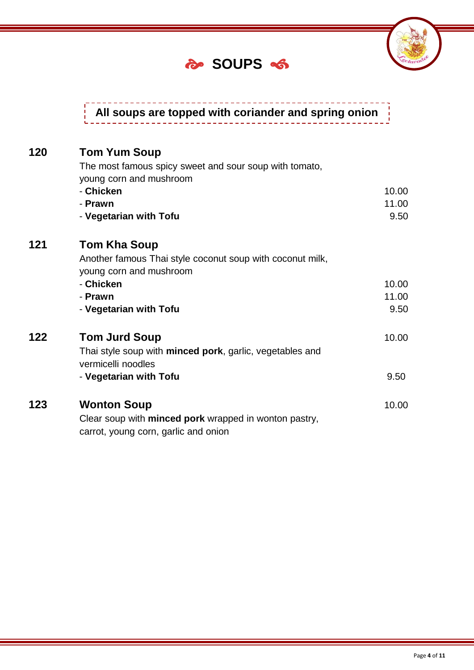### **SOUPS**



## **All soups are topped with coriander and spring onion**

| 120 | <b>Tom Yum Soup</b>                                              |       |
|-----|------------------------------------------------------------------|-------|
|     | The most famous spicy sweet and sour soup with tomato,           |       |
|     | young corn and mushroom                                          |       |
|     | - Chicken                                                        | 10.00 |
|     | - Prawn                                                          | 11.00 |
|     | - Vegetarian with Tofu                                           | 9.50  |
| 121 | <b>Tom Kha Soup</b>                                              |       |
|     | Another famous Thai style coconut soup with coconut milk,        |       |
|     | young corn and mushroom                                          |       |
|     | - Chicken                                                        | 10.00 |
|     | - Prawn                                                          | 11.00 |
|     | - Vegetarian with Tofu                                           | 9.50  |
| 122 | <b>Tom Jurd Soup</b>                                             | 10.00 |
|     | Thai style soup with <b>minced pork</b> , garlic, vegetables and |       |
|     | vermicelli noodles                                               |       |
|     | - Vegetarian with Tofu                                           | 9.50  |
| 123 | <b>Wonton Soup</b>                                               | 10.00 |
|     | Clear soup with minced pork wrapped in wonton pastry,            |       |
|     | carrot, young corn, garlic and onion                             |       |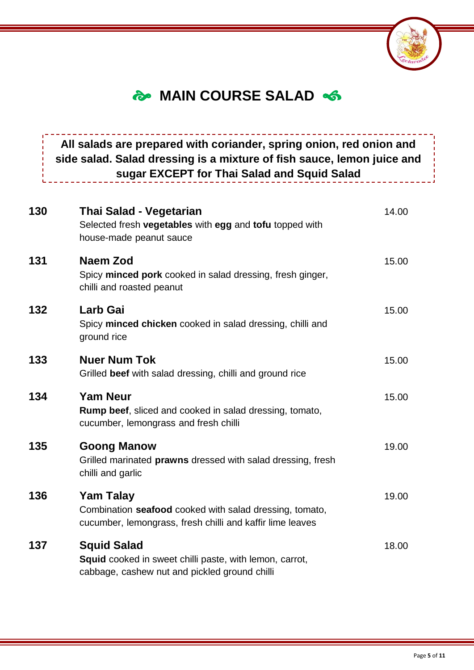

### *<u>MAIN COURSE SALAD 
S*</u>

### **All salads are prepared with coriander, spring onion, red onion and side salad. Salad dressing is a mixture of fish sauce, lemon juice and sugar EXCEPT for Thai Salad and Squid Salad**

| 130 | Thai Salad - Vegetarian<br>Selected fresh vegetables with egg and tofu topped with<br>house-made peanut sauce                            | 14.00 |
|-----|------------------------------------------------------------------------------------------------------------------------------------------|-------|
| 131 | <b>Naem Zod</b><br>Spicy minced pork cooked in salad dressing, fresh ginger,<br>chilli and roasted peanut                                | 15.00 |
| 132 | <b>Larb Gai</b><br>Spicy minced chicken cooked in salad dressing, chilli and<br>ground rice                                              | 15.00 |
| 133 | <b>Nuer Num Tok</b><br>Grilled beef with salad dressing, chilli and ground rice                                                          | 15.00 |
| 134 | <b>Yam Neur</b><br><b>Rump beef, sliced and cooked in salad dressing, tomato,</b><br>cucumber, lemongrass and fresh chilli               | 15.00 |
| 135 | <b>Goong Manow</b><br>Grilled marinated prawns dressed with salad dressing, fresh<br>chilli and garlic                                   | 19.00 |
| 136 | <b>Yam Talay</b><br>Combination seafood cooked with salad dressing, tomato,<br>cucumber, lemongrass, fresh chilli and kaffir lime leaves | 19.00 |
| 137 | <b>Squid Salad</b><br><b>Squid</b> cooked in sweet chilli paste, with lemon, carrot,<br>cabbage, cashew nut and pickled ground chilli    | 18.00 |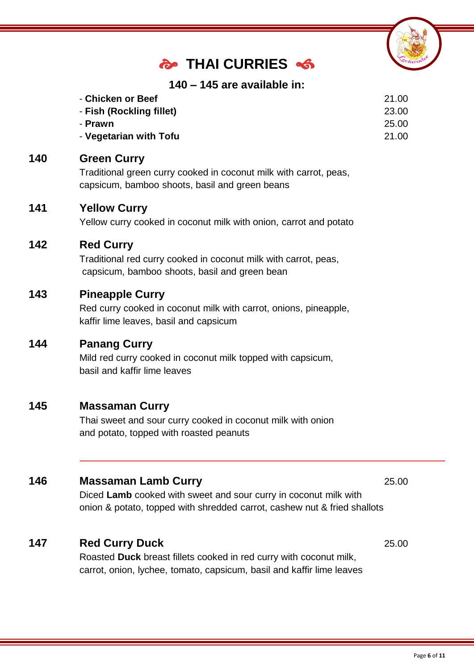### **THAI CURRIES**



#### **140 – 145 are available in:**

| - Chicken or Beef        | 21.00 |
|--------------------------|-------|
| - Fish (Rockling fillet) | 23.00 |
| - Prawn                  | 25.00 |
| - Vegetarian with Tofu   | 21.00 |

#### **140 Green Curry**

Traditional green curry cooked in coconut milk with carrot, peas, capsicum, bamboo shoots, basil and green beans

#### **141 Yellow Curry**

Yellow curry cooked in coconut milk with onion, carrot and potato

#### **142 Red Curry**

Traditional red curry cooked in coconut milk with carrot, peas, capsicum, bamboo shoots, basil and green bean

#### **143 Pineapple Curry**

Red curry cooked in coconut milk with carrot, onions, pineapple, kaffir lime leaves, basil and capsicum

#### **144 Panang Curry**

Mild red curry cooked in coconut milk topped with capsicum, basil and kaffir lime leaves

#### **145 Massaman Curry**

Thai sweet and sour curry cooked in coconut milk with onion and potato, topped with roasted peanuts

#### **146 Massaman Lamb Curry** 25.00

Diced **Lamb** cooked with sweet and sour curry in coconut milk with onion & potato, topped with shredded carrot, cashew nut & fried shallots

#### **147 Red Curry Duck** 25.00

Roasted **Duck** breast fillets cooked in red curry with coconut milk, carrot, onion, lychee, tomato, capsicum, basil and kaffir lime leaves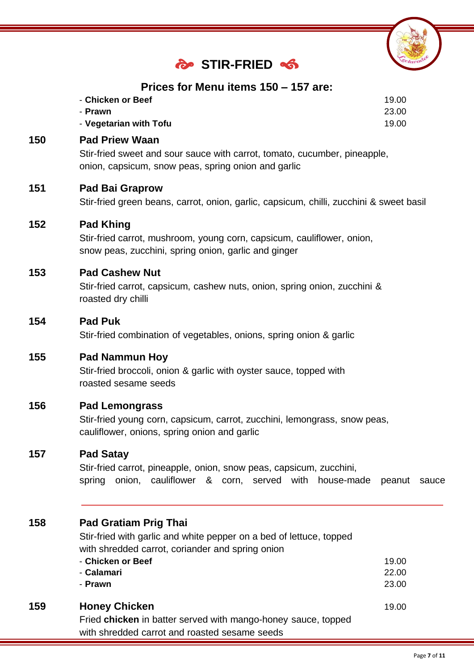

### **STIR-FRIED**

#### **Prices for Menu items 150 – 157 are:**

| - Chicken or Beef      | 19.00 |
|------------------------|-------|
| - Prawn                | 23.00 |
| - Vegetarian with Tofu | 19.00 |

#### **150 Pad Priew Waan**

Stir-fried sweet and sour sauce with carrot, tomato, cucumber, pineapple, onion, capsicum, snow peas, spring onion and garlic

#### **151 Pad Bai Graprow**

Stir-fried green beans, carrot, onion, garlic, capsicum, chilli, zucchini & sweet basil

#### **152 Pad Khing**

Stir-fried carrot, mushroom, young corn, capsicum, cauliflower, onion, snow peas, zucchini, spring onion, garlic and ginger

#### **153 Pad Cashew Nut**

Stir-fried carrot, capsicum, cashew nuts, onion, spring onion, zucchini & roasted dry chilli

#### **154 Pad Puk**

Stir-fried combination of vegetables, onions, spring onion & garlic

#### **155 Pad Nammun Hoy**

Stir-fried broccoli, onion & garlic with oyster sauce, topped with roasted sesame seeds

#### **156 Pad Lemongrass**

Stir-fried young corn, capsicum, carrot, zucchini, lemongrass, snow peas, cauliflower, onions, spring onion and garlic

#### **157 Pad Satay**

Stir-fried carrot, pineapple, onion, snow peas, capsicum, zucchini, spring onion, cauliflower & corn, served with house-made peanut sauce

#### **158 Pad Gratiam Prig Thai**

Stir-fried with garlic and white pepper on a bed of lettuce, topped with shredded carrot, coriander and spring onion

|     | - Chicken or Beef                                             | 19.00 |
|-----|---------------------------------------------------------------|-------|
|     | - Calamari                                                    | 22.00 |
|     | - Prawn                                                       | 23.00 |
| 159 | <b>Honey Chicken</b>                                          | 19.00 |
|     | Fried chicken in batter served with mango-honey sauce, topped |       |
|     | with shredded carrot and roasted sesame seeds                 |       |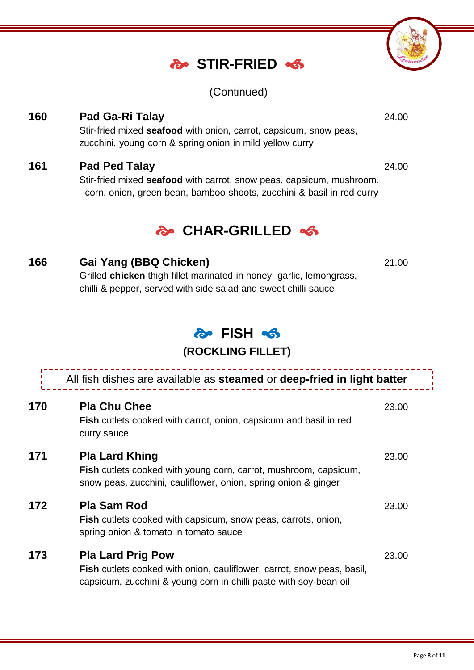### **STIR-FRIED**

(Continued)

**160 Pad Ga-Ri Talay** 24.00 Stir-fried mixed **seafood** with onion, carrot, capsicum, snow peas, zucchini, young corn & spring onion in mild yellow curry

#### **161 Pad Ped Talay** 24.00

Stir-fried mixed **seafood** with carrot, snow peas, capsicum, mushroom, corn, onion, green bean, bamboo shoots, zucchini & basil in red curry

### **CHAR-GRILLED**

#### **166 Gai Yang (BBQ Chicken)** 21.00

Grilled **chicken** thigh fillet marinated in honey, garlic, lemongrass, chilli & pepper, served with side salad and sweet chilli sauce

### **FISH**

#### **(ROCKLING FILLET)**

|     | All fish dishes are available as steamed or deep-fried in light batter                                                                                                         |       |
|-----|--------------------------------------------------------------------------------------------------------------------------------------------------------------------------------|-------|
| 170 | <b>Pla Chu Chee</b><br>Fish cutlets cooked with carrot, onion, capsicum and basil in red<br>curry sauce                                                                        | 23.00 |
| 171 | <b>Pla Lard Khing</b><br>Fish cutlets cooked with young corn, carrot, mushroom, capsicum,<br>snow peas, zucchini, cauliflower, onion, spring onion & ginger                    | 23.00 |
| 172 | <b>Pla Sam Rod</b><br>Fish cutlets cooked with capsicum, snow peas, carrots, onion,<br>spring onion & tomato in tomato sauce                                                   | 23.00 |
| 173 | <b>Pla Lard Prig Pow</b><br><b>Fish</b> cutlets cooked with onion, cauliflower, carrot, snow peas, basil,<br>capsicum, zucchini & young corn in chilli paste with soy-bean oil | 23.00 |

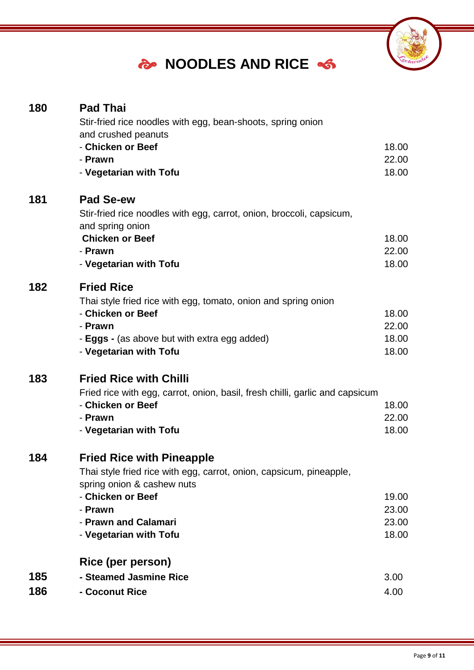### *S* NOODLES AND RICE  $\frac{1}{2}$



| 180        | <b>Pad Thai</b><br>Stir-fried rice noodles with egg, bean-shoots, spring onion<br>and crushed peanuts<br>- Chicken or Beef<br>- Prawn<br>- Vegetarian with Tofu                                                         | 18.00<br>22.00<br>18.00          |
|------------|-------------------------------------------------------------------------------------------------------------------------------------------------------------------------------------------------------------------------|----------------------------------|
| 181        | <b>Pad Se-ew</b><br>Stir-fried rice noodles with egg, carrot, onion, broccoli, capsicum,<br>and spring onion<br><b>Chicken or Beef</b><br>- Prawn<br>- Vegetarian with Tofu                                             | 18.00<br>22.00<br>18.00          |
| 182        | <b>Fried Rice</b><br>Thai style fried rice with egg, tomato, onion and spring onion<br>- Chicken or Beef<br>- Prawn<br>- <b>Eggs</b> - (as above but with extra egg added)<br>- Vegetarian with Tofu                    | 18.00<br>22.00<br>18.00<br>18.00 |
| 183        | <b>Fried Rice with Chilli</b><br>Fried rice with egg, carrot, onion, basil, fresh chilli, garlic and capsicum<br>- Chicken or Beef<br>- Prawn<br>- Vegetarian with Tofu                                                 | 18.00<br>22.00<br>18.00          |
| 184        | <b>Fried Rice with Pineapple</b><br>Thai style fried rice with egg, carrot, onion, capsicum, pineapple,<br>spring onion & cashew nuts<br>- Chicken or Beef<br>- Prawn<br>- Prawn and Calamari<br>- Vegetarian with Tofu | 19.00<br>23.00<br>23.00<br>18.00 |
| 185<br>186 | Rice (per person)<br>- Steamed Jasmine Rice<br>- Coconut Rice                                                                                                                                                           | 3.00<br>4.00                     |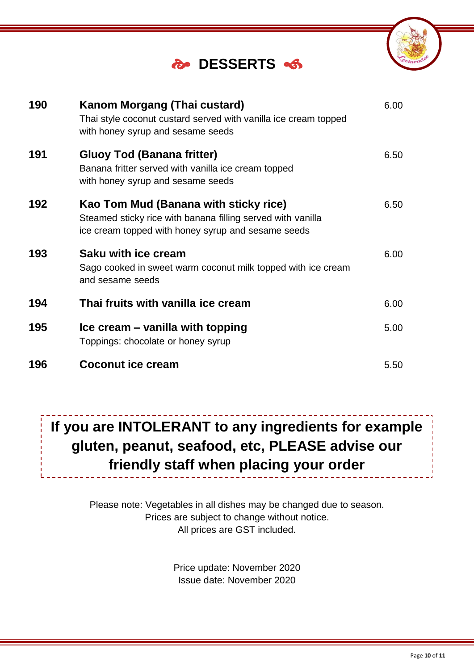### **DESSERTS**

| 190 | <b>Kanom Morgang (Thai custard)</b><br>Thai style coconut custard served with vanilla ice cream topped<br>with honey syrup and sesame seeds                | 6.00 |
|-----|------------------------------------------------------------------------------------------------------------------------------------------------------------|------|
| 191 | Gluoy Tod (Banana fritter)<br>Banana fritter served with vanilla ice cream topped<br>with honey syrup and sesame seeds                                     | 6.50 |
| 192 | Kao Tom Mud (Banana with sticky rice)<br>Steamed sticky rice with banana filling served with vanilla<br>ice cream topped with honey syrup and sesame seeds | 6.50 |
| 193 | Saku with ice cream<br>Sago cooked in sweet warm coconut milk topped with ice cream<br>and sesame seeds                                                    | 6.00 |
| 194 | Thai fruits with vanilla ice cream                                                                                                                         | 6.00 |
| 195 | Ice cream – vanilla with topping<br>Toppings: chocolate or honey syrup                                                                                     | 5.00 |
| 196 | <b>Coconut ice cream</b>                                                                                                                                   | 5.50 |

### **If you are INTOLERANT to any ingredients for example gluten, peanut, seafood, etc, PLEASE advise our friendly staff when placing your order**

Please note: Vegetables in all dishes may be changed due to season. Prices are subject to change without notice. All prices are GST included.

> Price update: November 2020 Issue date: November 2020